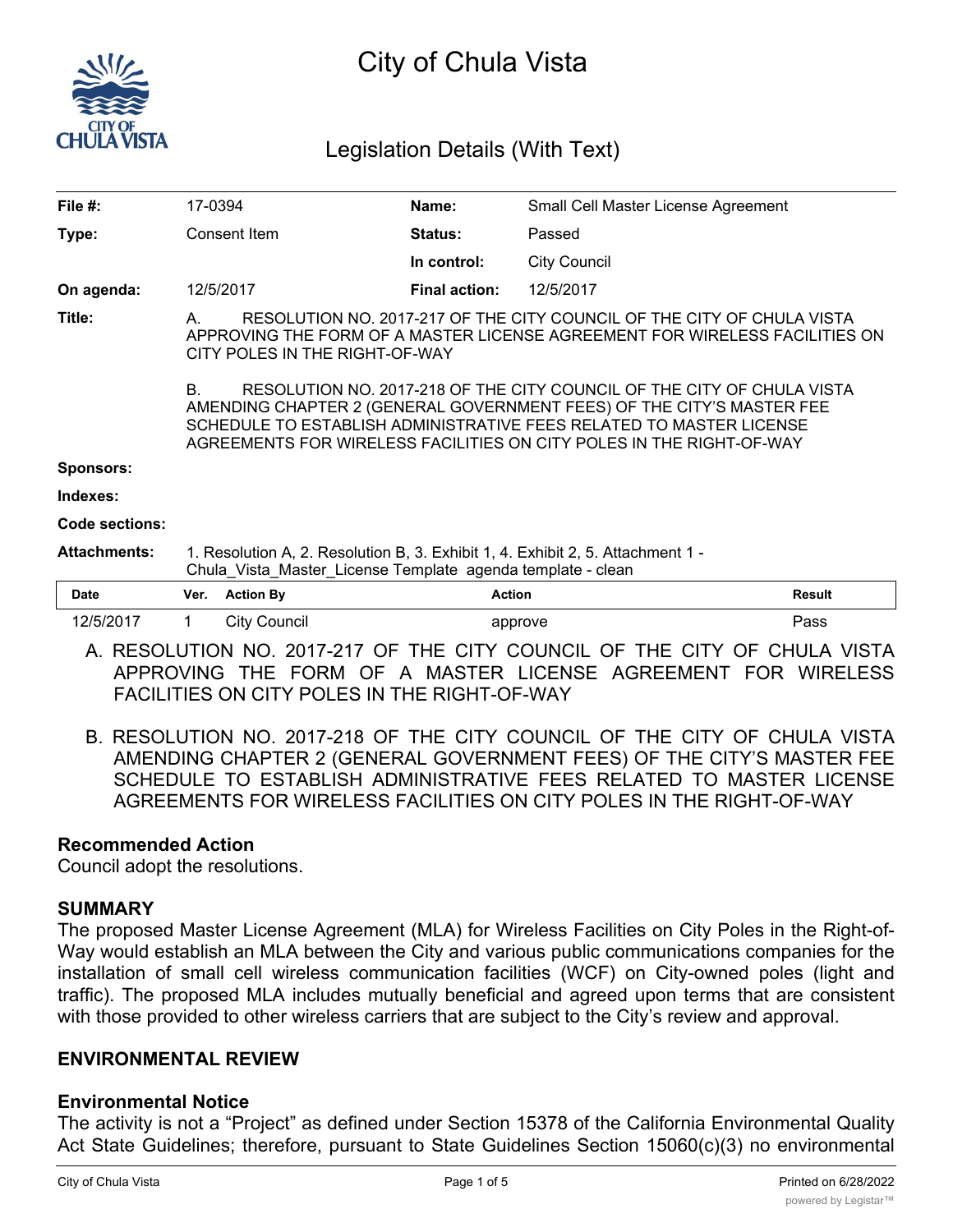

# City of Chula Vista

# Legislation Details (With Text)

|                                                                                                                                                                                                                                                                                                      |                     | Name:                |                     |                                                                 |  |  |
|------------------------------------------------------------------------------------------------------------------------------------------------------------------------------------------------------------------------------------------------------------------------------------------------------|---------------------|----------------------|---------------------|-----------------------------------------------------------------|--|--|
| Consent Item                                                                                                                                                                                                                                                                                         |                     | Status:              | Passed              |                                                                 |  |  |
|                                                                                                                                                                                                                                                                                                      |                     | In control:          | <b>City Council</b> |                                                                 |  |  |
|                                                                                                                                                                                                                                                                                                      |                     | <b>Final action:</b> | 12/5/2017           |                                                                 |  |  |
| RESOLUTION NO. 2017-217 OF THE CITY COUNCIL OF THE CITY OF CHULA VISTA<br>A.<br>APPROVING THE FORM OF A MASTER LICENSE AGREEMENT FOR WIRELESS FACILITIES ON<br>CITY POLES IN THE RIGHT-OF-WAY                                                                                                        |                     |                      |                     |                                                                 |  |  |
| RESOLUTION NO. 2017-218 OF THE CITY COUNCIL OF THE CITY OF CHULA VISTA<br>В.<br>AMENDING CHAPTER 2 (GENERAL GOVERNMENT FEES) OF THE CITY'S MASTER FEE<br>SCHEDULE TO ESTABLISH ADMINISTRATIVE FEES RELATED TO MASTER LICENSE<br>AGREEMENTS FOR WIRELESS FACILITIES ON CITY POLES IN THE RIGHT-OF-WAY |                     |                      |                     |                                                                 |  |  |
|                                                                                                                                                                                                                                                                                                      |                     |                      |                     |                                                                 |  |  |
|                                                                                                                                                                                                                                                                                                      |                     |                      |                     |                                                                 |  |  |
|                                                                                                                                                                                                                                                                                                      |                     |                      |                     |                                                                 |  |  |
| 1. Resolution A, 2. Resolution B, 3. Exhibit 1, 4. Exhibit 2, 5. Attachment 1 -<br>Chula Vista Master License Template agenda template - clean                                                                                                                                                       |                     |                      |                     |                                                                 |  |  |
| Ver.                                                                                                                                                                                                                                                                                                 | <b>Action By</b>    |                      |                     | <b>Result</b>                                                   |  |  |
| $\mathbf 1$                                                                                                                                                                                                                                                                                          | <b>City Council</b> |                      |                     | Pass                                                            |  |  |
|                                                                                                                                                                                                                                                                                                      |                     | 17-0394<br>12/5/2017 |                     | Small Cell Master License Agreement<br><b>Action</b><br>approve |  |  |

- A. RESOLUTION NO. 2017-217 OF THE CITY COUNCIL OF THE CITY OF CHULA VISTA APPROVING THE FORM OF A MASTER LICENSE AGREEMENT FOR WIRELESS FACILITIES ON CITY POLES IN THE RIGHT-OF-WAY
- B. RESOLUTION NO. 2017-218 OF THE CITY COUNCIL OF THE CITY OF CHULA VISTA AMENDING CHAPTER 2 (GENERAL GOVERNMENT FEES) OF THE CITY'S MASTER FEE SCHEDULE TO ESTABLISH ADMINISTRATIVE FEES RELATED TO MASTER LICENSE AGREEMENTS FOR WIRELESS FACILITIES ON CITY POLES IN THE RIGHT-OF-WAY

# **Recommended Action**

Council adopt the resolutions.

# **SUMMARY**

The proposed Master License Agreement (MLA) for Wireless Facilities on City Poles in the Right-of-Way would establish an MLA between the City and various public communications companies for the installation of small cell wireless communication facilities (WCF) on City-owned poles (light and traffic). The proposed MLA includes mutually beneficial and agreed upon terms that are consistent with those provided to other wireless carriers that are subject to the City's review and approval.

# **ENVIRONMENTAL REVIEW**

# **Environmental Notice**

The activity is not a "Project" as defined under Section 15378 of the California Environmental Quality Act State Guidelines; therefore, pursuant to State Guidelines Section 15060(c)(3) no environmental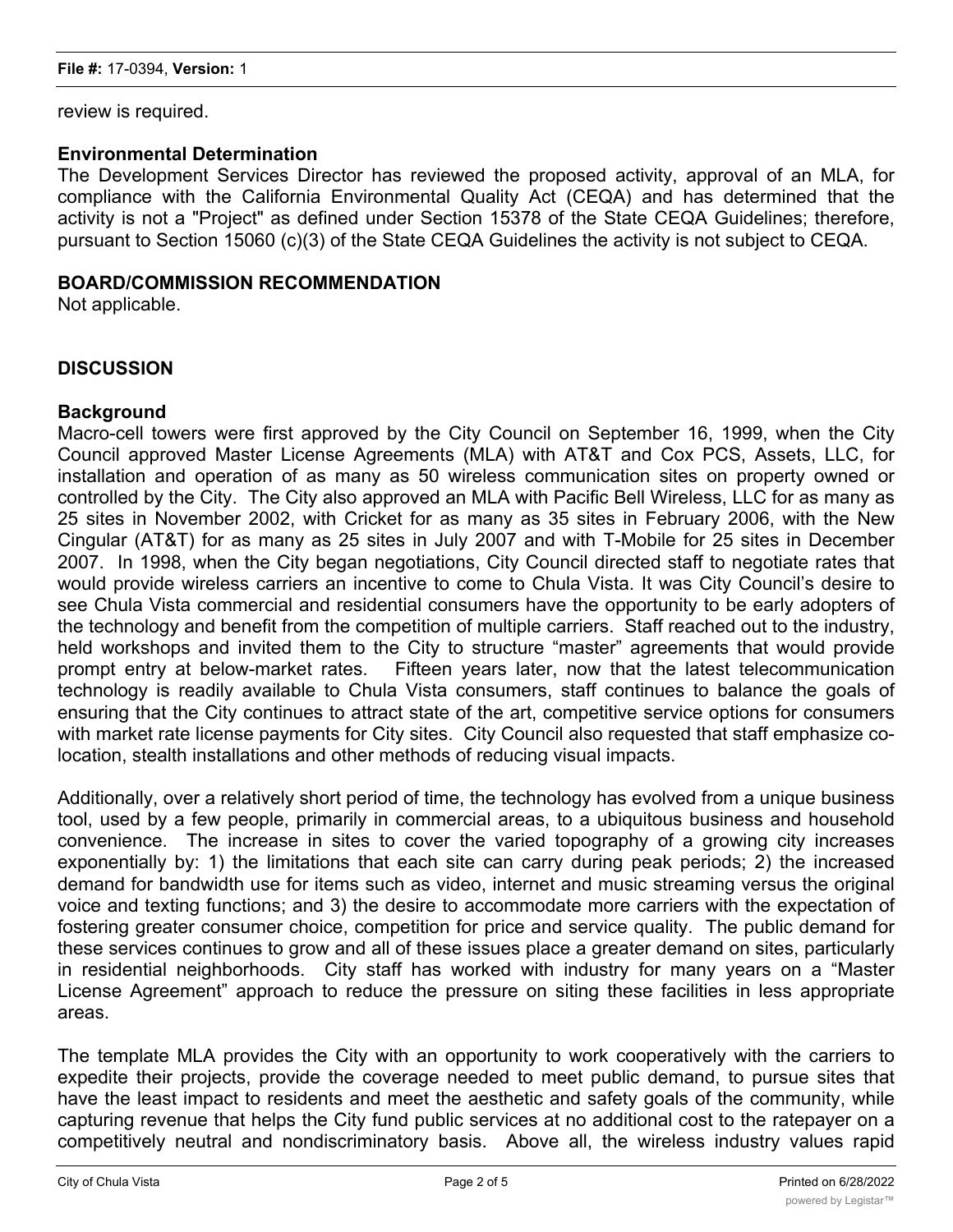review is required.

#### **Environmental Determination**

The Development Services Director has reviewed the proposed activity, approval of an MLA, for compliance with the California Environmental Quality Act (CEQA) and has determined that the activity is not a "Project" as defined under Section 15378 of the State CEQA Guidelines; therefore, pursuant to Section 15060 (c)(3) of the State CEQA Guidelines the activity is not subject to CEQA.

# **BOARD/COMMISSION RECOMMENDATION**

Not applicable.

# **DISCUSSION**

#### **Background**

Macro-cell towers were first approved by the City Council on September 16, 1999, when the City Council approved Master License Agreements (MLA) with AT&T and Cox PCS, Assets, LLC, for installation and operation of as many as 50 wireless communication sites on property owned or controlled by the City. The City also approved an MLA with Pacific Bell Wireless, LLC for as many as 25 sites in November 2002, with Cricket for as many as 35 sites in February 2006, with the New Cingular (AT&T) for as many as 25 sites in July 2007 and with T-Mobile for 25 sites in December 2007. In 1998, when the City began negotiations, City Council directed staff to negotiate rates that would provide wireless carriers an incentive to come to Chula Vista. It was City Council's desire to see Chula Vista commercial and residential consumers have the opportunity to be early adopters of the technology and benefit from the competition of multiple carriers. Staff reached out to the industry, held workshops and invited them to the City to structure "master" agreements that would provide prompt entry at below-market rates. Fifteen years later, now that the latest telecommunication technology is readily available to Chula Vista consumers, staff continues to balance the goals of ensuring that the City continues to attract state of the art, competitive service options for consumers with market rate license payments for City sites. City Council also requested that staff emphasize colocation, stealth installations and other methods of reducing visual impacts.

Additionally, over a relatively short period of time, the technology has evolved from a unique business tool, used by a few people, primarily in commercial areas, to a ubiquitous business and household convenience. The increase in sites to cover the varied topography of a growing city increases exponentially by: 1) the limitations that each site can carry during peak periods; 2) the increased demand for bandwidth use for items such as video, internet and music streaming versus the original voice and texting functions; and 3) the desire to accommodate more carriers with the expectation of fostering greater consumer choice, competition for price and service quality. The public demand for these services continues to grow and all of these issues place a greater demand on sites, particularly in residential neighborhoods. City staff has worked with industry for many years on a "Master License Agreement" approach to reduce the pressure on siting these facilities in less appropriate areas.

The template MLA provides the City with an opportunity to work cooperatively with the carriers to expedite their projects, provide the coverage needed to meet public demand, to pursue sites that have the least impact to residents and meet the aesthetic and safety goals of the community, while capturing revenue that helps the City fund public services at no additional cost to the ratepayer on a competitively neutral and nondiscriminatory basis. Above all, the wireless industry values rapid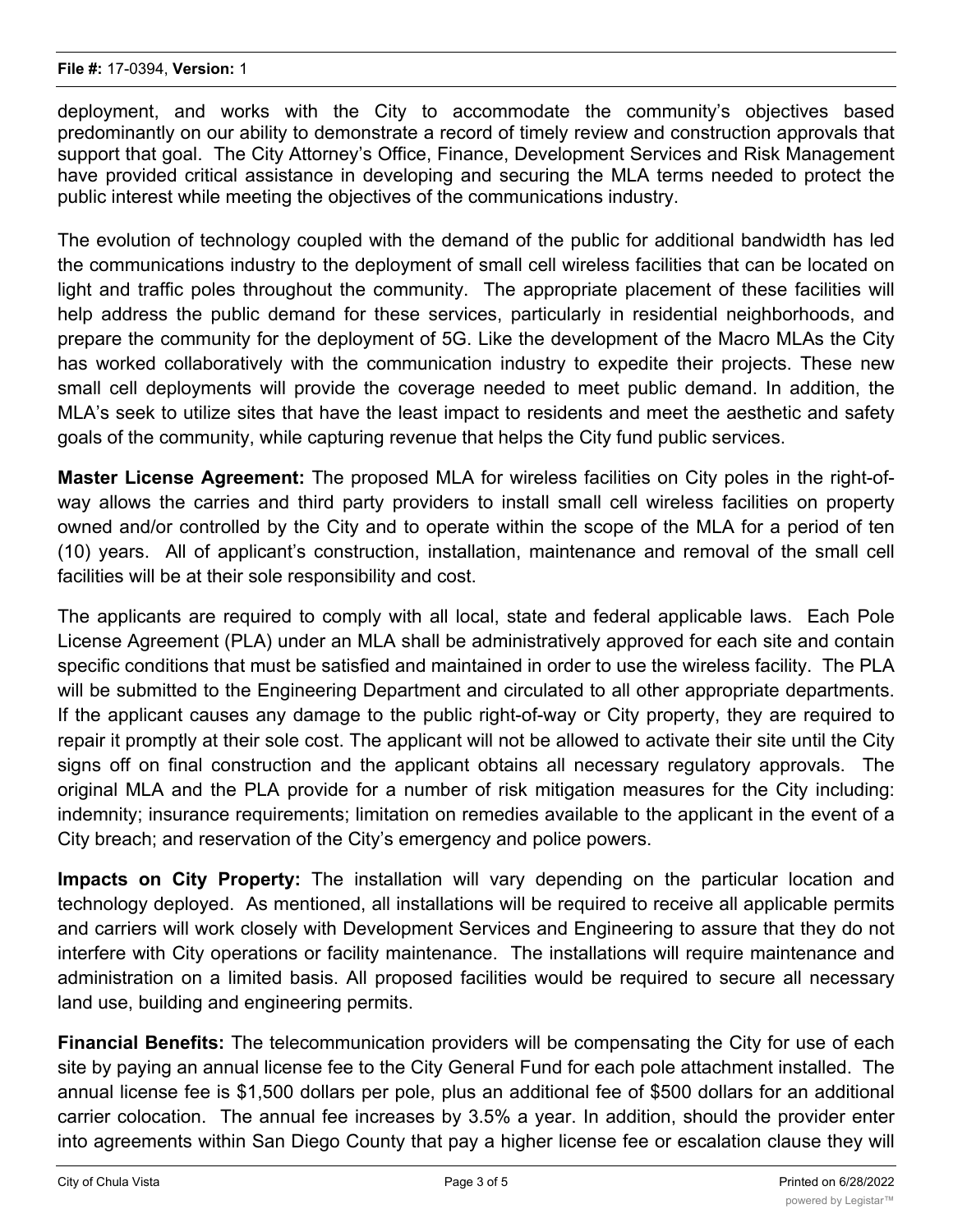deployment, and works with the City to accommodate the community's objectives based predominantly on our ability to demonstrate a record of timely review and construction approvals that support that goal. The City Attorney's Office, Finance, Development Services and Risk Management have provided critical assistance in developing and securing the MLA terms needed to protect the public interest while meeting the objectives of the communications industry.

The evolution of technology coupled with the demand of the public for additional bandwidth has led the communications industry to the deployment of small cell wireless facilities that can be located on light and traffic poles throughout the community. The appropriate placement of these facilities will help address the public demand for these services, particularly in residential neighborhoods, and prepare the community for the deployment of 5G. Like the development of the Macro MLAs the City has worked collaboratively with the communication industry to expedite their projects. These new small cell deployments will provide the coverage needed to meet public demand. In addition, the MLA's seek to utilize sites that have the least impact to residents and meet the aesthetic and safety goals of the community, while capturing revenue that helps the City fund public services.

**Master License Agreement:** The proposed MLA for wireless facilities on City poles in the right-ofway allows the carries and third party providers to install small cell wireless facilities on property owned and/or controlled by the City and to operate within the scope of the MLA for a period of ten (10) years. All of applicant's construction, installation, maintenance and removal of the small cell facilities will be at their sole responsibility and cost.

The applicants are required to comply with all local, state and federal applicable laws. Each Pole License Agreement (PLA) under an MLA shall be administratively approved for each site and contain specific conditions that must be satisfied and maintained in order to use the wireless facility. The PLA will be submitted to the Engineering Department and circulated to all other appropriate departments. If the applicant causes any damage to the public right-of-way or City property, they are required to repair it promptly at their sole cost. The applicant will not be allowed to activate their site until the City signs off on final construction and the applicant obtains all necessary regulatory approvals. The original MLA and the PLA provide for a number of risk mitigation measures for the City including: indemnity; insurance requirements; limitation on remedies available to the applicant in the event of a City breach; and reservation of the City's emergency and police powers.

**Impacts on City Property:** The installation will vary depending on the particular location and technology deployed. As mentioned, all installations will be required to receive all applicable permits and carriers will work closely with Development Services and Engineering to assure that they do not interfere with City operations or facility maintenance. The installations will require maintenance and administration on a limited basis. All proposed facilities would be required to secure all necessary land use, building and engineering permits.

**Financial Benefits:** The telecommunication providers will be compensating the City for use of each site by paying an annual license fee to the City General Fund for each pole attachment installed. The annual license fee is \$1,500 dollars per pole, plus an additional fee of \$500 dollars for an additional carrier colocation. The annual fee increases by 3.5% a year. In addition, should the provider enter into agreements within San Diego County that pay a higher license fee or escalation clause they will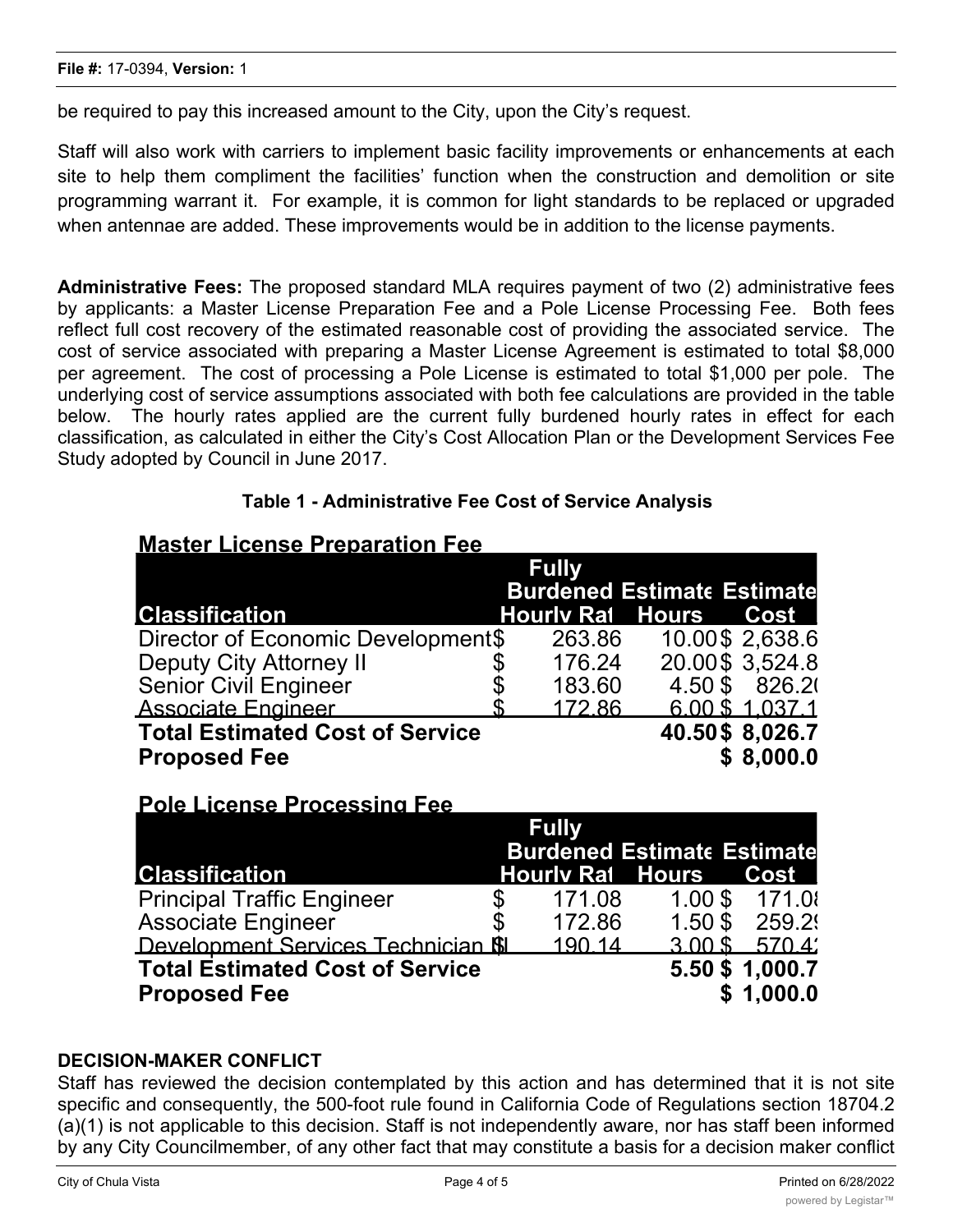be required to pay this increased amount to the City, upon the City's request.

Staff will also work with carriers to implement basic facility improvements or enhancements at each site to help them compliment the facilities' function when the construction and demolition or site programming warrant it. For example, it is common for light standards to be replaced or upgraded when antennae are added. These improvements would be in addition to the license payments.

**Administrative Fees:** The proposed standard MLA requires payment of two (2) administrative fees by applicants: a Master License Preparation Fee and a Pole License Processing Fee. Both fees reflect full cost recovery of the estimated reasonable cost of providing the associated service. The cost of service associated with preparing a Master License Agreement is estimated to total \$8,000 per agreement. The cost of processing a Pole License is estimated to total \$1,000 per pole. The underlying cost of service assumptions associated with both fee calculations are provided in the table below. The hourly rates applied are the current fully burdened hourly rates in effect for each classification, as calculated in either the City's Cost Allocation Plan or the Development Services Fee Study adopted by Council in June 2017.

| <b>Master License Preparation Fee</b>  |                                   |        |                         |                 |  |  |  |  |  |
|----------------------------------------|-----------------------------------|--------|-------------------------|-----------------|--|--|--|--|--|
|                                        | <b>Fully</b>                      |        |                         |                 |  |  |  |  |  |
|                                        | <b>Burdened Estimate Estimate</b> |        |                         |                 |  |  |  |  |  |
| <b>Classification</b>                  |                                   |        | <b>Hourly Rat Hours</b> | <b>Cost</b>     |  |  |  |  |  |
| Director of Economic Development\$     |                                   | 263.86 |                         | 10.00\$ 2,638.6 |  |  |  |  |  |
| <b>Deputy City Attorney II</b>         |                                   | 176.24 |                         | 20.00\$ 3,524.8 |  |  |  |  |  |
| <b>Senior Civil Engineer</b>           |                                   | 183.60 | 4.50\$                  | 826.21          |  |  |  |  |  |
| <b>Associate Engineer</b>              |                                   | 172.86 |                         | 6.00 \$ 1.037.1 |  |  |  |  |  |
| <b>Total Estimated Cost of Service</b> |                                   |        |                         | 40.50\$ 8,026.7 |  |  |  |  |  |
| <b>Proposed Fee</b>                    |                                   |        |                         | \$8,000.0       |  |  |  |  |  |

# **Table 1 - Administrative Fee Cost of Service Analysis**

| <u>LAIR FIREIISE LIARESSIIIA LEE</u>      |                                   |                         |           |                 |  |
|-------------------------------------------|-----------------------------------|-------------------------|-----------|-----------------|--|
|                                           |                                   | <b>Fully</b>            |           |                 |  |
|                                           | <b>Burdened Estimate Estimate</b> |                         |           |                 |  |
| <b>Classification</b>                     |                                   | <b>Hourly Rat Hours</b> |           | Cost I          |  |
| <b>Principal Traffic Engineer</b>         |                                   | 171.08                  |           | 1.00 \$ 171.0   |  |
| Associate Engineer                        |                                   | 172.86                  | $1.50$ \$ | 259.29          |  |
| Development Services Technician <b>SI</b> |                                   | 190.14                  | $3.00$ \$ | $-570.4'$       |  |
| <b>Total Estimated Cost of Service</b>    |                                   |                         |           | 5.50 \$ 1,000.7 |  |
| <b>Proposed Fee</b>                       |                                   |                         |           | \$1.000.0       |  |

# **DECISION-MAKER CONFLICT**

**Pole License Processing Fee**

Staff has reviewed the decision contemplated by this action and has determined that it is not site specific and consequently, the 500-foot rule found in California Code of Regulations section 18704.2 (a)(1) is not applicable to this decision. Staff is not independently aware, nor has staff been informed by any City Councilmember, of any other fact that may constitute a basis for a decision maker conflict